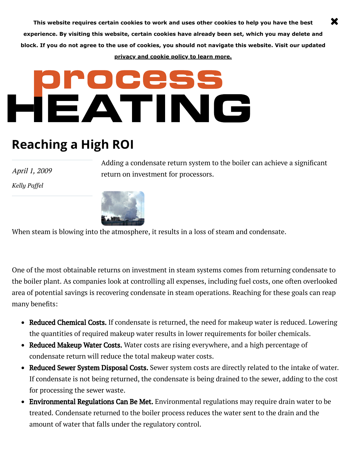**This website requires certain cookies to work and uses other cookies to help you have the best experience. By visiting this website, certain cookies have already been set, which you may delete and block. If you do not agree to the use of cookies, you should not navigate this website. Visit our updated [privacy and cookie policy to learn more.](https://www.process-heating.com/privacy)**

## HEATING

## **Reaching a High ROI**

April 1, 2009

*[Kelly Paffel](https://www.process-heating.com/authors/2216-kelly-paffel)*

Adding a condensate return system to the boiler can achieve a significant return on investment for processors.

×



When steam is blowing into the atmosphere, it results in a loss of steam and condensate.

One of the most obtainable returns on investment in steam systems comes from returning condensate to the boiler plant. As companies look at controlling all expenses, including fuel costs, one often overlooked area of potential savings is recovering condensate in steam operations. Reaching for these goals can reap many benefits:

- Reduced Chemical Costs. If condensate is returned, the need for makeup water is reduced. Lowering the quantities of required makeup water results in lower requirements for boiler chemicals.
- Reduced Makeup Water Costs. Water costs are rising everywhere, and a high percentage of condensate return will reduce the total makeup water costs.
- Reduced Sewer System Disposal Costs. Sewer system costs are directly related to the intake of water. If condensate is not being returned, the condensate is being drained to the sewer, adding to the cost for processing the sewer waste.
- Environmental Regulations Can Be Met. Environmental regulations may require drain water to be treated. Condensate returned to the boiler process reduces the water sent to the drain and the amount of water that falls under the regulatory control.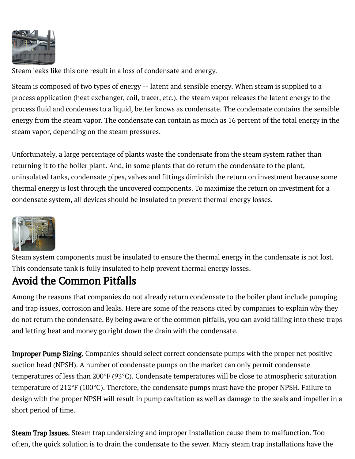

Steam leaks like this one result in a loss of condensate and energy.

Steam is composed of two types of energy -- latent and sensible energy. When steam is supplied to a process application (heat exchanger, coil, tracer, etc.), the steam vapor releases the latent energy to the process fluid and condenses to a liquid, better knows as condensate. The condensate contains the sensible energy from the steam vapor. The condensate can contain as much as 16 percent of the total energy in the steam vapor, depending on the steam pressures.

Unfortunately, a large percentage of plants waste the condensate from the steam system rather than returning it to the boiler plant. And, in some plants that do return the condensate to the plant, uninsulated tanks, condensate pipes, valves and fittings diminish the return on investment because some thermal energy is lost through the uncovered components. To maximize the return on investment for a condensate system, all devices should be insulated to prevent thermal energy losses.



Steam system components must be insulated to ensure the thermal energy in the condensate is not lost. This condensate tank is fully insulated to help prevent thermal energy losses.

## Avoid the Common Pitfalls

Among the reasons that companies do not already return condensate to the boiler plant include pumping and trap issues, corrosion and leaks. Here are some of the reasons cited by companies to explain why they do not return the condensate. By being aware of the common pitfalls, you can avoid falling into these traps and letting heat and money go right down the drain with the condensate.

**Improper Pump Sizing.** Companies should select correct condensate pumps with the proper net positive suction head (NPSH). A number of condensate pumps on the market can only permit condensate temperatures of less than 200°F (93°C). Condensate temperatures will be close to atmospheric saturation temperature of 212°F (100°C). Therefore, the condensate pumps must have the proper NPSH. Failure to design with the proper NPSH will result in pump cavitation as well as damage to the seals and impeller in a short period of time.

often, the quick solution is to drain the condensate to the sewer. Many steam trap installations have the **Steam Trap Issues.** Steam trap undersizing and improper installation cause them to malfunction. Too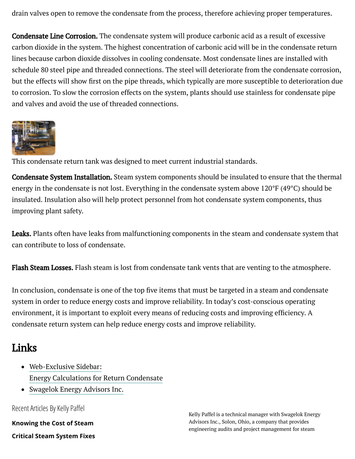drain valves open to remove the condensate from the process, therefore achieving proper temperatures.

Condensate Line Corrosion. The condensate system will produce carbonic acid as a result of excessive carbon dioxide in the system. The highest concentration of carbonic acid will be in the condensate return lines because carbon dioxide dissolves in cooling condensate. Most condensate lines are installed with schedule 80 steel pipe and threaded connections. The steel will deteriorate from the condensate corrosion, but the effects will show first on the pipe threads, which typically are more susceptible to deterioration due to corrosion. To slow the corrosion effects on the system, plants should use stainless for condensate pipe and valves and avoid the use of threaded connections.



This condensate return tank was designed to meet current industrial standards.

Condensate System Installation. Steam system components should be insulated to ensure that the thermal energy in the condensate is not lost. Everything in the condensate system above 120°F (49°C) should be insulated. Insulation also will help protect personnel from hot condensate system components, thus improving plant safety.

Leaks. Plants often have leaks from malfunctioning components in the steam and condensate system that can contribute to loss of condensate.

Flash Steam Losses. Flash steam is lost from condensate tank vents that are venting to the atmosphere.

In conclusion, condensate is one of the top five items that must be targeted in a steam and condensate system in order to reduce energy costs and improve reliability. In today's cost-conscious operating environment, it is important to exploit every means of reducing costs and improving efficiency. A condensate return system can help reduce energy costs and improve reliability.

## Links

- [Web-Exclusive](http://www.process-heating.com/CDA/Articles/Web_Exclusives/BNP_GUID_9-5-2006_A_10000000000000560447) Sidebar: Energy Calculations for Return Condensate
- [Swagelok](http://www.swagelokenergy.com/) Energy Advisors Inc.

Recent Articles By Kelly Paffel

**[Knowing the Cost of Steam](https://www.process-heating.com/articles/89469-knowing-the-cost-of-steam)**

**[Critical Steam System Fixes](https://www.process-heating.com/articles/88055-critical-steam-system-fixes)**